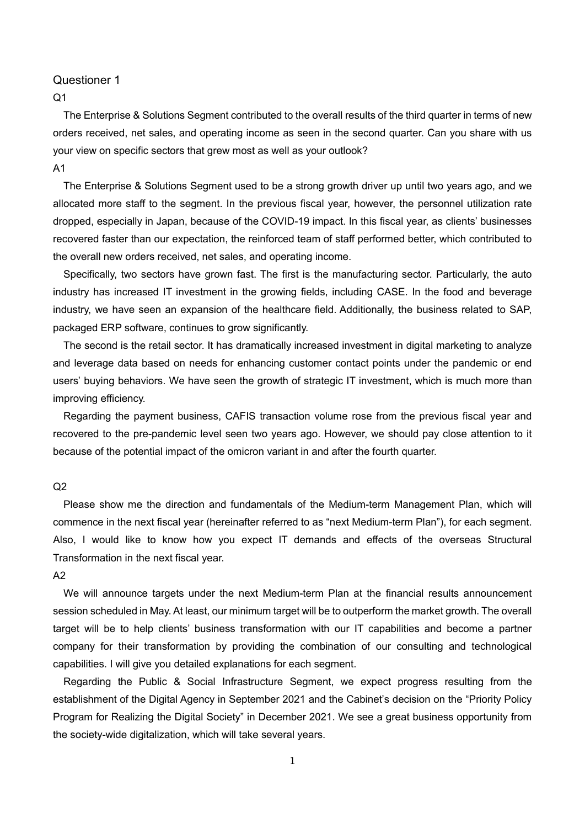$Q<sub>1</sub>$ 

The Enterprise & Solutions Segment contributed to the overall results of the third quarter in terms of new orders received, net sales, and operating income as seen in the second quarter. Can you share with us your view on specific sectors that grew most as well as your outlook? A1

The Enterprise & Solutions Segment used to be a strong growth driver up until two years ago, and we allocated more staff to the segment. In the previous fiscal year, however, the personnel utilization rate dropped, especially in Japan, because of the COVID-19 impact. In this fiscal year, as clients' businesses recovered faster than our expectation, the reinforced team of staff performed better, which contributed to the overall new orders received, net sales, and operating income.

Specifically, two sectors have grown fast. The first is the manufacturing sector. Particularly, the auto industry has increased IT investment in the growing fields, including CASE. In the food and beverage industry, we have seen an expansion of the healthcare field. Additionally, the business related to SAP, packaged ERP software, continues to grow significantly.

The second is the retail sector. It has dramatically increased investment in digital marketing to analyze and leverage data based on needs for enhancing customer contact points under the pandemic or end users' buying behaviors. We have seen the growth of strategic IT investment, which is much more than improving efficiency.

Regarding the payment business, CAFIS transaction volume rose from the previous fiscal year and recovered to the pre-pandemic level seen two years ago. However, we should pay close attention to it because of the potential impact of the omicron variant in and after the fourth quarter.

#### $O<sub>2</sub>$

Please show me the direction and fundamentals of the Medium-term Management Plan, which will commence in the next fiscal year (hereinafter referred to as "next Medium-term Plan"), for each segment. Also, I would like to know how you expect IT demands and effects of the overseas Structural Transformation in the next fiscal year.

#### A2

We will announce targets under the next Medium-term Plan at the financial results announcement session scheduled in May. At least, our minimum target will be to outperform the market growth. The overall target will be to help clients' business transformation with our IT capabilities and become a partner company for their transformation by providing the combination of our consulting and technological capabilities. I will give you detailed explanations for each segment.

Regarding the Public & Social Infrastructure Segment, we expect progress resulting from the establishment of the Digital Agency in September 2021 and the Cabinet's decision on the "Priority Policy Program for Realizing the Digital Society" in December 2021. We see a great business opportunity from the society-wide digitalization, which will take several years.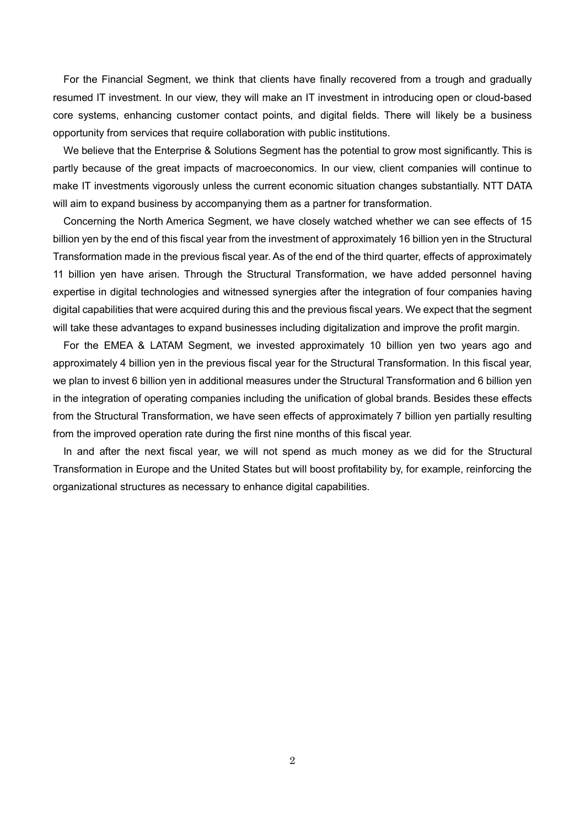For the Financial Segment, we think that clients have finally recovered from a trough and gradually resumed IT investment. In our view, they will make an IT investment in introducing open or cloud-based core systems, enhancing customer contact points, and digital fields. There will likely be a business opportunity from services that require collaboration with public institutions.

We believe that the Enterprise & Solutions Segment has the potential to grow most significantly. This is partly because of the great impacts of macroeconomics. In our view, client companies will continue to make IT investments vigorously unless the current economic situation changes substantially. NTT DATA will aim to expand business by accompanying them as a partner for transformation.

Concerning the North America Segment, we have closely watched whether we can see effects of 15 billion yen by the end of this fiscal year from the investment of approximately 16 billion yen in the Structural Transformation made in the previous fiscal year. As of the end of the third quarter, effects of approximately 11 billion yen have arisen. Through the Structural Transformation, we have added personnel having expertise in digital technologies and witnessed synergies after the integration of four companies having digital capabilities that were acquired during this and the previous fiscal years. We expect that the segment will take these advantages to expand businesses including digitalization and improve the profit margin.

For the EMEA & LATAM Segment, we invested approximately 10 billion yen two years ago and approximately 4 billion yen in the previous fiscal year for the Structural Transformation. In this fiscal year, we plan to invest 6 billion yen in additional measures under the Structural Transformation and 6 billion yen in the integration of operating companies including the unification of global brands. Besides these effects from the Structural Transformation, we have seen effects of approximately 7 billion yen partially resulting from the improved operation rate during the first nine months of this fiscal year.

In and after the next fiscal year, we will not spend as much money as we did for the Structural Transformation in Europe and the United States but will boost profitability by, for example, reinforcing the organizational structures as necessary to enhance digital capabilities.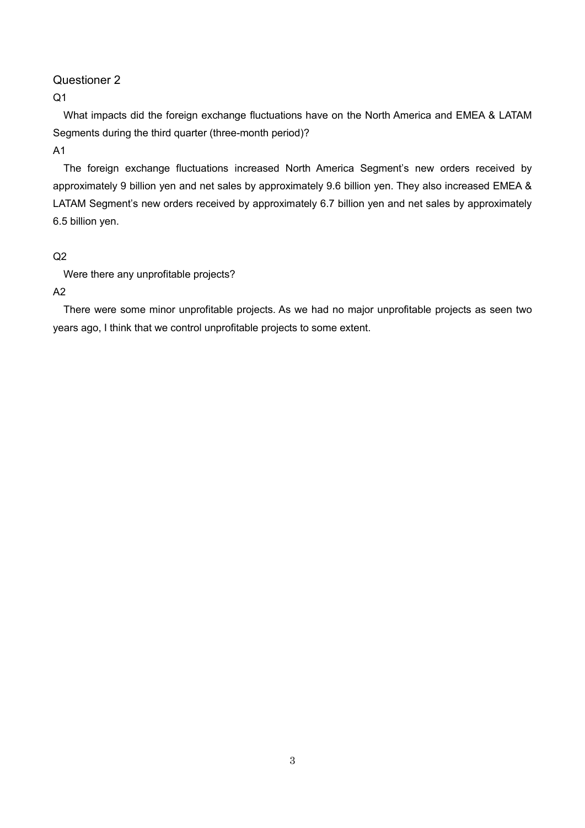$Q<sub>1</sub>$ 

What impacts did the foreign exchange fluctuations have on the North America and EMEA & LATAM Segments during the third quarter (three-month period)?

A1

The foreign exchange fluctuations increased North America Segment's new orders received by approximately 9 billion yen and net sales by approximately 9.6 billion yen. They also increased EMEA & LATAM Segment's new orders received by approximately 6.7 billion yen and net sales by approximately 6.5 billion yen.

# $Q<sub>2</sub>$

Were there any unprofitable projects?

A2

There were some minor unprofitable projects. As we had no major unprofitable projects as seen two years ago, I think that we control unprofitable projects to some extent.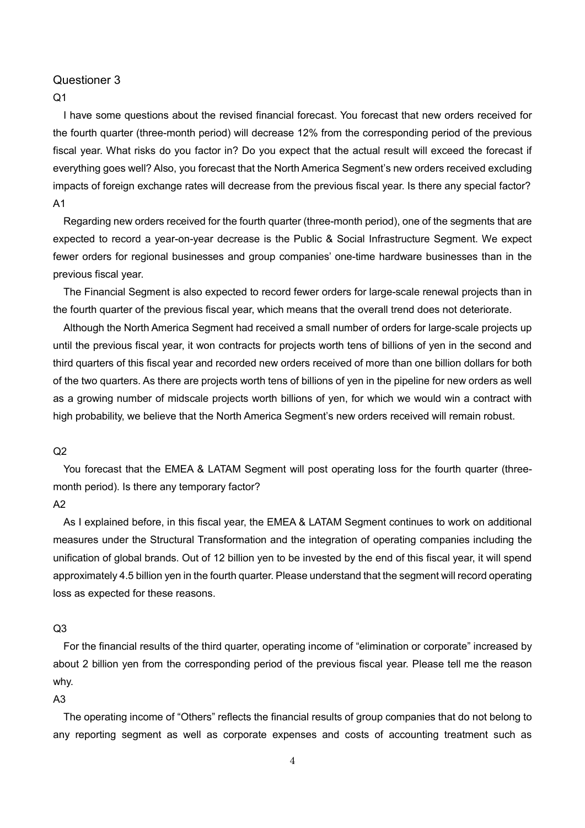### $Q<sub>1</sub>$

I have some questions about the revised financial forecast. You forecast that new orders received for the fourth quarter (three-month period) will decrease 12% from the corresponding period of the previous fiscal year. What risks do you factor in? Do you expect that the actual result will exceed the forecast if everything goes well? Also, you forecast that the North America Segment's new orders received excluding impacts of foreign exchange rates will decrease from the previous fiscal year. Is there any special factor? A1

Regarding new orders received for the fourth quarter (three-month period), one of the segments that are expected to record a year-on-year decrease is the Public & Social Infrastructure Segment. We expect fewer orders for regional businesses and group companies' one-time hardware businesses than in the previous fiscal year.

The Financial Segment is also expected to record fewer orders for large-scale renewal projects than in the fourth quarter of the previous fiscal year, which means that the overall trend does not deteriorate.

Although the North America Segment had received a small number of orders for large-scale projects up until the previous fiscal year, it won contracts for projects worth tens of billions of yen in the second and third quarters of this fiscal year and recorded new orders received of more than one billion dollars for both of the two quarters. As there are projects worth tens of billions of yen in the pipeline for new orders as well as a growing number of midscale projects worth billions of yen, for which we would win a contract with high probability, we believe that the North America Segment's new orders received will remain robust.

#### $Q<sub>2</sub>$

You forecast that the EMEA & LATAM Segment will post operating loss for the fourth quarter (threemonth period). Is there any temporary factor?

## A2

As I explained before, in this fiscal year, the EMEA & LATAM Segment continues to work on additional measures under the Structural Transformation and the integration of operating companies including the unification of global brands. Out of 12 billion yen to be invested by the end of this fiscal year, it will spend approximately 4.5 billion yen in the fourth quarter. Please understand that the segment will record operating loss as expected for these reasons.

#### Q3

For the financial results of the third quarter, operating income of "elimination or corporate" increased by about 2 billion yen from the corresponding period of the previous fiscal year. Please tell me the reason why.

#### A3

The operating income of "Others" reflects the financial results of group companies that do not belong to any reporting segment as well as corporate expenses and costs of accounting treatment such as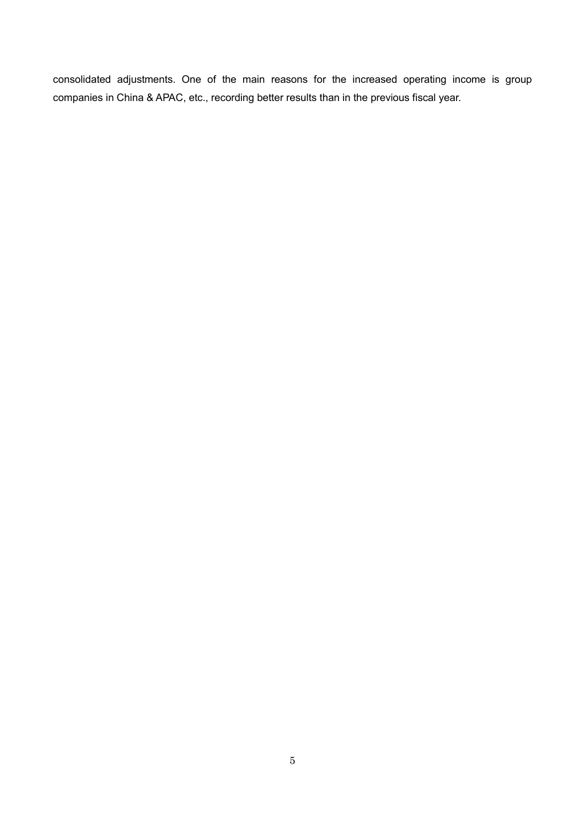consolidated adjustments. One of the main reasons for the increased operating income is group companies in China & APAC, etc., recording better results than in the previous fiscal year.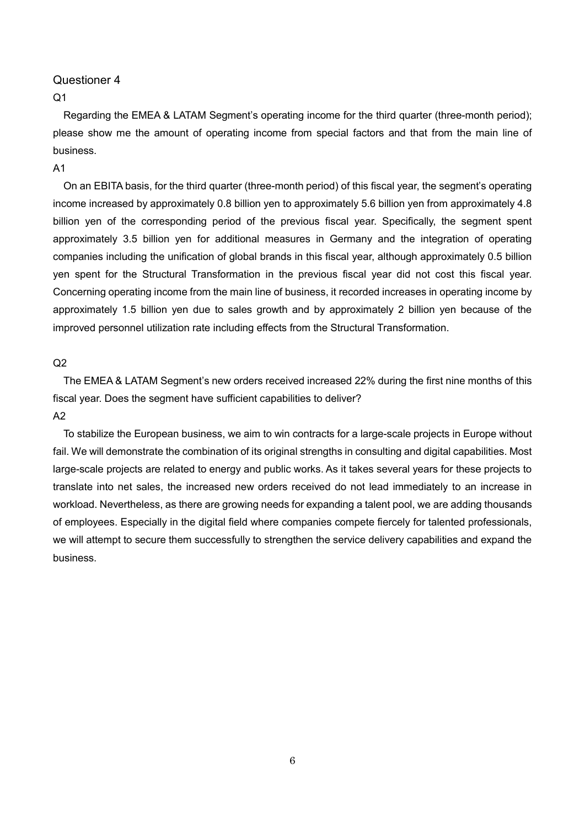## $Q<sub>1</sub>$

Regarding the EMEA & LATAM Segment's operating income for the third quarter (three-month period); please show me the amount of operating income from special factors and that from the main line of business.

### A1

On an EBITA basis, for the third quarter (three-month period) of this fiscal year, the segment's operating income increased by approximately 0.8 billion yen to approximately 5.6 billion yen from approximately 4.8 billion yen of the corresponding period of the previous fiscal year. Specifically, the segment spent approximately 3.5 billion yen for additional measures in Germany and the integration of operating companies including the unification of global brands in this fiscal year, although approximately 0.5 billion yen spent for the Structural Transformation in the previous fiscal year did not cost this fiscal year. Concerning operating income from the main line of business, it recorded increases in operating income by approximately 1.5 billion yen due to sales growth and by approximately 2 billion yen because of the improved personnel utilization rate including effects from the Structural Transformation.

### $Q<sub>2</sub>$

The EMEA & LATAM Segment's new orders received increased 22% during the first nine months of this fiscal year. Does the segment have sufficient capabilities to deliver?

# A2

To stabilize the European business, we aim to win contracts for a large-scale projects in Europe without fail. We will demonstrate the combination of its original strengths in consulting and digital capabilities. Most large-scale projects are related to energy and public works. As it takes several years for these projects to translate into net sales, the increased new orders received do not lead immediately to an increase in workload. Nevertheless, as there are growing needs for expanding a talent pool, we are adding thousands of employees. Especially in the digital field where companies compete fiercely for talented professionals, we will attempt to secure them successfully to strengthen the service delivery capabilities and expand the business.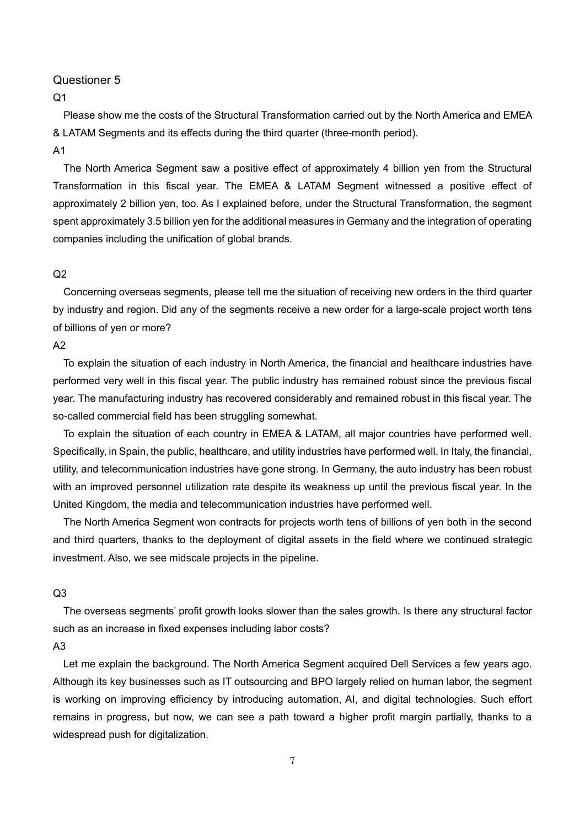$O<sub>1</sub>$ 

Please show me the costs of the Structural Transformation carried out by the North America and EMEA & LATAM Segments and its effects during the third quarter (three-month period).

#### A1

The North America Segment saw a positive effect of approximately 4 billion yen from the Structural Transformation in this fiscal year. The EMEA & LATAM Segment witnessed a positive effect of approximately 2 billion yen, too. As I explained before, under the Structural Transformation, the segment spent approximately 3.5 billion yen for the additional measures in Germany and the integration of operating companies including the unification of global brands.

#### $Q<sub>2</sub>$

Concerning overseas segments, please tell me the situation of receiving new orders in the third quarter by industry and region. Did any of the segments receive a new order for a large-scale project worth tens of billions of yen or more?

A2

To explain the situation of each industry in North America, the financial and healthcare industries have performed very well in this fiscal year. The public industry has remained robust since the previous fiscal year. The manufacturing industry has recovered considerably and remained robust in this fiscal year. The so-called commercial field has been struggling somewhat.

To explain the situation of each country in EMEA & LATAM, all major countries have performed well. Specifically, in Spain, the public, healthcare, and utility industries have performed well. In Italy, the financial, utility, and telecommunication industries have gone strong. In Germany, the auto industry has been robust with an improved personnel utilization rate despite its weakness up until the previous fiscal year. In the United Kingdom, the media and telecommunication industries have performed well.

The North America Segment won contracts for projects worth tens of billions of yen both in the second and third quarters, thanks to the deployment of digital assets in the field where we continued strategic investment. Also, we see midscale projects in the pipeline.

#### Q3

The overseas segments' profit growth looks slower than the sales growth. Is there any structural factor such as an increase in fixed expenses including labor costs?

### A3

Let me explain the background. The North America Segment acquired Dell Services a few years ago. Although its key businesses such as IT outsourcing and BPO largely relied on human labor, the segment is working on improving efficiency by introducing automation, AI, and digital technologies. Such effort remains in progress, but now, we can see a path toward a higher profit margin partially, thanks to a widespread push for digitalization.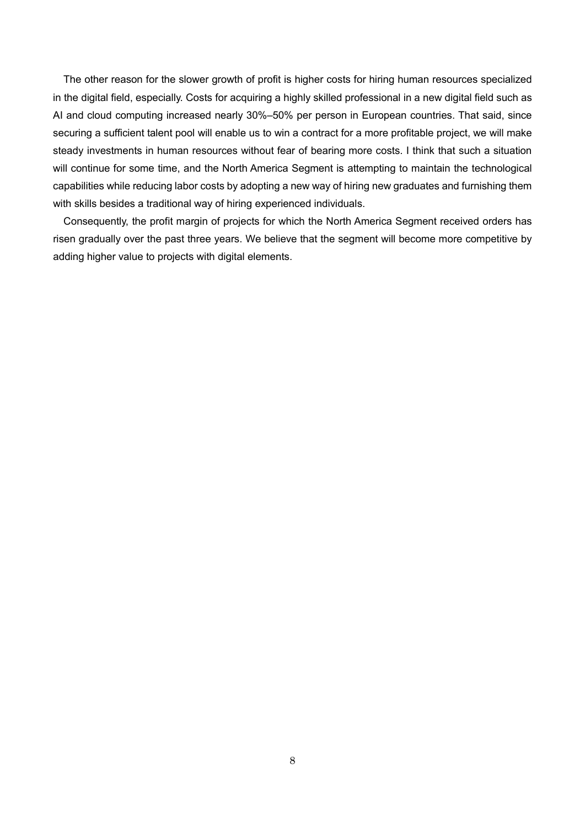The other reason for the slower growth of profit is higher costs for hiring human resources specialized in the digital field, especially. Costs for acquiring a highly skilled professional in a new digital field such as AI and cloud computing increased nearly 30%–50% per person in European countries. That said, since securing a sufficient talent pool will enable us to win a contract for a more profitable project, we will make steady investments in human resources without fear of bearing more costs. I think that such a situation will continue for some time, and the North America Segment is attempting to maintain the technological capabilities while reducing labor costs by adopting a new way of hiring new graduates and furnishing them with skills besides a traditional way of hiring experienced individuals.

Consequently, the profit margin of projects for which the North America Segment received orders has risen gradually over the past three years. We believe that the segment will become more competitive by adding higher value to projects with digital elements.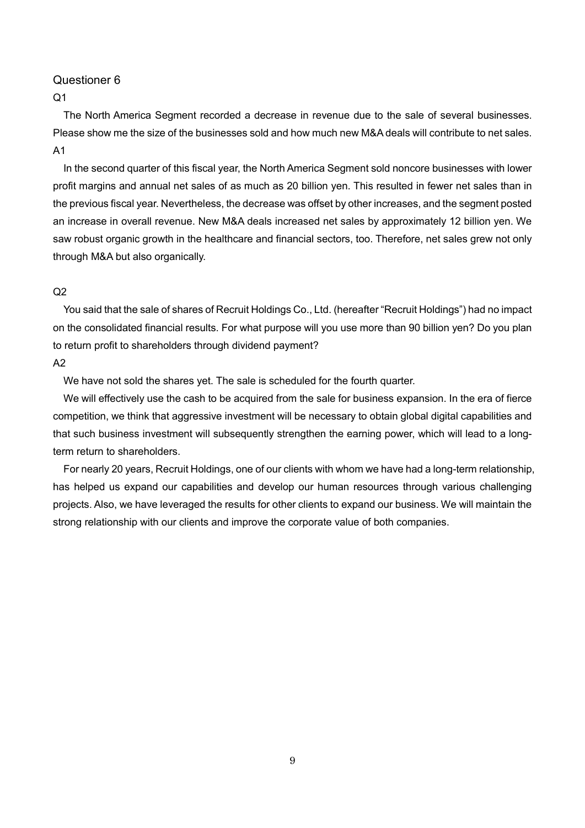## $O<sub>1</sub>$

The North America Segment recorded a decrease in revenue due to the sale of several businesses. Please show me the size of the businesses sold and how much new M&A deals will contribute to net sales. A1

In the second quarter of this fiscal year, the North America Segment sold noncore businesses with lower profit margins and annual net sales of as much as 20 billion yen. This resulted in fewer net sales than in the previous fiscal year. Nevertheless, the decrease was offset by other increases, and the segment posted an increase in overall revenue. New M&A deals increased net sales by approximately 12 billion yen. We saw robust organic growth in the healthcare and financial sectors, too. Therefore, net sales grew not only through M&A but also organically.

### $Q<sub>2</sub>$

You said that the sale of shares of Recruit Holdings Co., Ltd. (hereafter "Recruit Holdings") had no impact on the consolidated financial results. For what purpose will you use more than 90 billion yen? Do you plan to return profit to shareholders through dividend payment?

#### A2

We have not sold the shares yet. The sale is scheduled for the fourth quarter.

We will effectively use the cash to be acquired from the sale for business expansion. In the era of fierce competition, we think that aggressive investment will be necessary to obtain global digital capabilities and that such business investment will subsequently strengthen the earning power, which will lead to a longterm return to shareholders.

For nearly 20 years, Recruit Holdings, one of our clients with whom we have had a long-term relationship, has helped us expand our capabilities and develop our human resources through various challenging projects. Also, we have leveraged the results for other clients to expand our business. We will maintain the strong relationship with our clients and improve the corporate value of both companies.

9